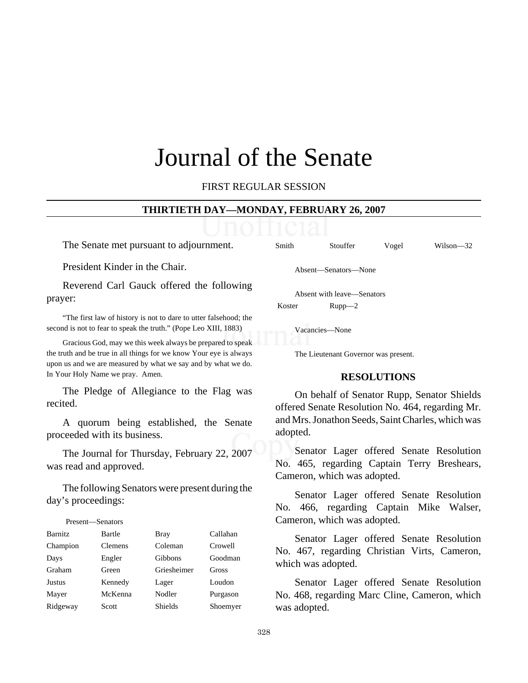# Journal of the Senate

FIRST REGULAR SESSION

#### **THIRTIETH DAY—MONDAY, FEBRUARY 26, 2007**

The Senate met pursuant to adjournment.

President Kinder in the Chair.

Reverend Carl Gauck offered the following prayer:

"The first law of history is not to dare to utter falsehood; the second is not to fear to speak the truth." (Pope Leo XIII, 1883)

Gracious God, may we this week always be prepared to speak the truth and be true in all things for we know Your eye is always upon us and we are measured by what we say and by what we do. In Your Holy Name we pray. Amen.

The Pledge of Allegiance to the Flag was recited.

A quorum being established, the Senate proceeded with its business.

The Journal for Thursday, February 22, 2007 was read and approved.

The following Senators were present during the day's proceedings:

## Present—Senators Barnitz Bartle Bray Callahan Champion Clemens Coleman Crowell Days Engler Gibbons Goodman Graham Green Griesheimer Gross Justus Kennedy Lager Loudon Mayer McKenna Nodler Purgason Ridgeway Scott Shields Shoemyer

Smith Stouffer Vogel Wilson—32

Absent—Senators—None

Absent with leave—Senators Koster Rupp—2

Vacancies—None

The Lieutenant Governor was present.

#### **RESOLUTIONS**

On behalf of Senator Rupp, Senator Shields offered Senate Resolution No. 464, regarding Mr. and Mrs. Jonathon Seeds, Saint Charles, which was adopted.

Senator Lager offered Senate Resolution No. 465, regarding Captain Terry Breshears, Cameron, which was adopted.

Senator Lager offered Senate Resolution No. 466, regarding Captain Mike Walser, Cameron, which was adopted.

Senator Lager offered Senate Resolution No. 467, regarding Christian Virts, Cameron, which was adopted.

Senator Lager offered Senate Resolution No. 468, regarding Marc Cline, Cameron, which was adopted.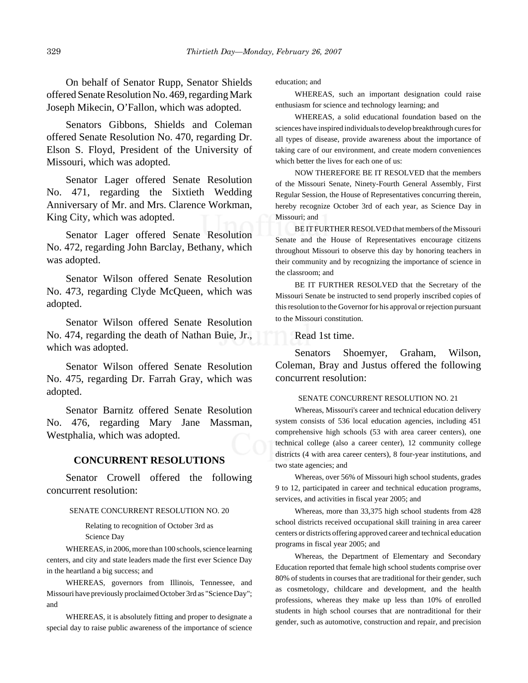On behalf of Senator Rupp, Senator Shields offered Senate Resolution No. 469, regarding Mark Joseph Mikecin, O'Fallon, which was adopted.

Senators Gibbons, Shields and Coleman offered Senate Resolution No. 470, regarding Dr. Elson S. Floyd, President of the University of Missouri, which was adopted.

Senator Lager offered Senate Resolution No. 471, regarding the Sixtieth Wedding Anniversary of Mr. and Mrs. Clarence Workman, King City, which was adopted.

Senator Lager offered Senate Resolution No. 472, regarding John Barclay, Bethany, which was adopted.

Senator Wilson offered Senate Resolution No. 473, regarding Clyde McQueen, which was adopted.

Senator Wilson offered Senate Resolution No. 474, regarding the death of Nathan Buie, Jr., which was adopted.

Senator Wilson offered Senate Resolution No. 475, regarding Dr. Farrah Gray, which was adopted.

Senator Barnitz offered Senate Resolution No. 476, regarding Mary Jane Massman, Westphalia, which was adopted.

#### **CONCURRENT RESOLUTIONS**

Senator Crowell offered the following concurrent resolution:

#### SENATE CONCURRENT RESOLUTION NO. 20

Relating to recognition of October 3rd as Science Day

WHEREAS, in 2006, more than 100 schools, science learning centers, and city and state leaders made the first ever Science Day in the heartland a big success; and

WHEREAS, governors from Illinois, Tennessee, and Missouri have previously proclaimed October 3rd as "Science Day"; and

WHEREAS, it is absolutely fitting and proper to designate a special day to raise public awareness of the importance of science

education; and

WHEREAS, such an important designation could raise enthusiasm for science and technology learning; and

WHEREAS, a solid educational foundation based on the sciences have inspired individuals to develop breakthrough cures for all types of disease, provide awareness about the importance of taking care of our environment, and create modern conveniences which better the lives for each one of us:

NOW THEREFORE BE IT RESOLVED that the members of the Missouri Senate, Ninety-Fourth General Assembly, First Regular Session, the House of Representatives concurring therein, hereby recognize October 3rd of each year, as Science Day in Missouri; and

BE IT FURTHER RESOLVED that members of the Missouri Senate and the House of Representatives encourage citizens throughout Missouri to observe this day by honoring teachers in their community and by recognizing the importance of science in the classroom; and

BE IT FURTHER RESOLVED that the Secretary of the Missouri Senate be instructed to send properly inscribed copies of this resolution to the Governor for his approval or rejection pursuant to the Missouri constitution.

Read 1st time.

Senators Shoemyer, Graham, Wilson, Coleman, Bray and Justus offered the following concurrent resolution:

#### SENATE CONCURRENT RESOLUTION NO. 21

Whereas, Missouri's career and technical education delivery system consists of 536 local education agencies, including 451 comprehensive high schools (53 with area career centers), one technical college (also a career center), 12 community college districts (4 with area career centers), 8 four-year institutions, and two state agencies; and

Whereas, over 56% of Missouri high school students, grades 9 to 12, participated in career and technical education programs, services, and activities in fiscal year 2005; and

Whereas, more than 33,375 high school students from 428 school districts received occupational skill training in area career centers or districts offering approved career and technical education programs in fiscal year 2005; and

Whereas, the Department of Elementary and Secondary Education reported that female high school students comprise over 80% of students in courses that are traditional for their gender, such as cosmetology, childcare and development, and the health professions, whereas they make up less than 10% of enrolled students in high school courses that are nontraditional for their gender, such as automotive, construction and repair, and precision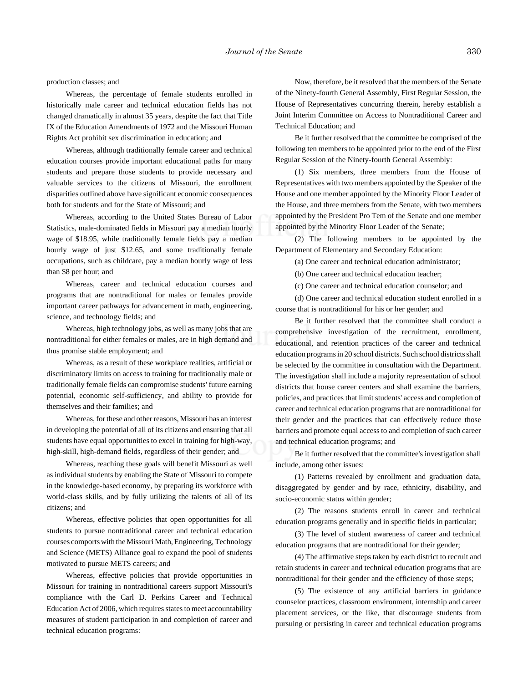production classes; and

Whereas, the percentage of female students enrolled in historically male career and technical education fields has not changed dramatically in almost 35 years, despite the fact that Title IX of the Education Amendments of 1972 and the Missouri Human Rights Act prohibit sex discrimination in education; and

Whereas, although traditionally female career and technical education courses provide important educational paths for many students and prepare those students to provide necessary and valuable services to the citizens of Missouri, the enrollment disparities outlined above have significant economic consequences both for students and for the State of Missouri; and

Whereas, according to the United States Bureau of Labor Statistics, male-dominated fields in Missouri pay a median hourly wage of \$18.95, while traditionally female fields pay a median hourly wage of just \$12.65, and some traditionally female occupations, such as childcare, pay a median hourly wage of less than \$8 per hour; and

Whereas, career and technical education courses and programs that are nontraditional for males or females provide important career pathways for advancement in math, engineering, science, and technology fields; and

Whereas, high technology jobs, as well as many jobs that are nontraditional for either females or males, are in high demand and thus promise stable employment; and

Whereas, as a result of these workplace realities, artificial or discriminatory limits on access to training for traditionally male or traditionally female fields can compromise students' future earning potential, economic self-sufficiency, and ability to provide for themselves and their families; and

Whereas, for these and other reasons, Missouri has an interest in developing the potential of all of its citizens and ensuring that all students have equal opportunities to excel in training for high-way, high-skill, high-demand fields, regardless of their gender; and

Whereas, reaching these goals will benefit Missouri as well as individual students by enabling the State of Missouri to compete in the knowledge-based economy, by preparing its workforce with world-class skills, and by fully utilizing the talents of all of its citizens; and

Whereas, effective policies that open opportunities for all students to pursue nontraditional career and technical education courses comports with the Missouri Math, Engineering, Technology and Science (METS) Alliance goal to expand the pool of students motivated to pursue METS careers; and

Whereas, effective policies that provide opportunities in Missouri for training in nontraditional careers support Missouri's compliance with the Carl D. Perkins Career and Technical Education Act of 2006, which requires states to meet accountability measures of student participation in and completion of career and technical education programs:

Now, therefore, be it resolved that the members of the Senate of the Ninety-fourth General Assembly, First Regular Session, the House of Representatives concurring therein, hereby establish a Joint Interim Committee on Access to Nontraditional Career and Technical Education; and

Be it further resolved that the committee be comprised of the following ten members to be appointed prior to the end of the First Regular Session of the Ninety-fourth General Assembly:

(1) Six members, three members from the House of Representatives with two members appointed by the Speaker of the House and one member appointed by the Minority Floor Leader of the House, and three members from the Senate, with two members appointed by the President Pro Tem of the Senate and one member appointed by the Minority Floor Leader of the Senate;

(2) The following members to be appointed by the Department of Elementary and Secondary Education:

(a) One career and technical education administrator;

(b) One career and technical education teacher;

(c) One career and technical education counselor; and

(d) One career and technical education student enrolled in a course that is nontraditional for his or her gender; and

Be it further resolved that the committee shall conduct a comprehensive investigation of the recruitment, enrollment, educational, and retention practices of the career and technical education programs in 20 school districts. Such school districts shall be selected by the committee in consultation with the Department. The investigation shall include a majority representation of school districts that house career centers and shall examine the barriers, policies, and practices that limit students' access and completion of career and technical education programs that are nontraditional for their gender and the practices that can effectively reduce those barriers and promote equal access to and completion of such career and technical education programs; and

Be it further resolved that the committee's investigation shall include, among other issues:

(1) Patterns revealed by enrollment and graduation data, disaggregated by gender and by race, ethnicity, disability, and socio-economic status within gender;

(2) The reasons students enroll in career and technical education programs generally and in specific fields in particular;

(3) The level of student awareness of career and technical education programs that are nontraditional for their gender;

(4) The affirmative steps taken by each district to recruit and retain students in career and technical education programs that are nontraditional for their gender and the efficiency of those steps;

(5) The existence of any artificial barriers in guidance counselor practices, classroom environment, internship and career placement services, or the like, that discourage students from pursuing or persisting in career and technical education programs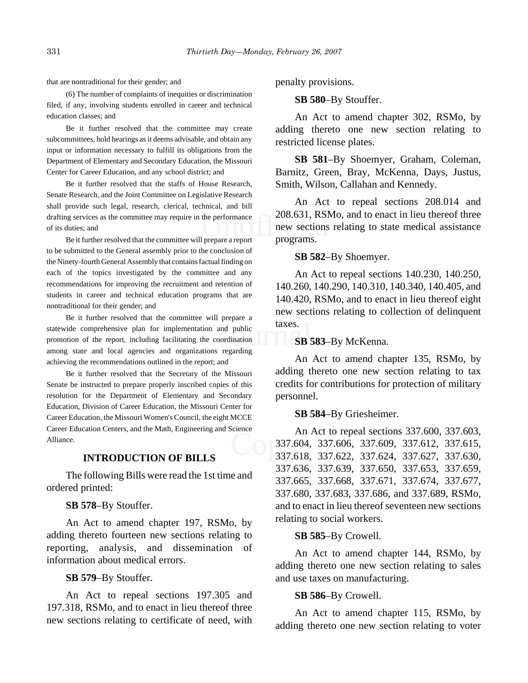that are nontraditional for their gender; and

(6) The number of complaints of inequities or discrimination filed, if any, involving students enrolled in career and technical education classes; and

Be it further resolved that the committee may create subcommittees, hold hearings as it deems advisable, and obtain any input or information necessary to fulfill its obligations from the Department of Elementary and Secondary Education, the Missouri Center for Career Education, and any school district; and

Be it further resolved that the staffs of House Research, Senate Research, and the Joint Committee on Legislative Research shall provide such legal, research, clerical, technical, and bill drafting services as the committee may require in the performance of its duties; and

Be it further resolved that the committee will prepare a report to be submitted to the General assembly prior to the conclusion of the Ninety-fourth General Assembly that contains factual finding on each of the topics investigated by the committee and any recommendations for improving the recruitment and retention of students in career and technical education programs that are nontraditional for their gender; and

Be it further resolved that the committee will prepare a statewide comprehensive plan for implementation and public promotion of the report, including facilitating the coordination among state and local agencies and organizations regarding achieving the recommendations outlined in the report; and

Be it further resolved that the Secretary of the Missouri Senate be instructed to prepare properly inscribed copies of this resolution for the Department of Elementary and Secondary Education, Division of Career Education, the Missouri Center for Career Education, the Missouri Women's Council, the eight MCCE Career Education Centers, and the Math, Engineering and Science Alliance.

## **INTRODUCTION OF BILLS**

The following Bills were read the 1st time and ordered printed:

**SB 578**–By Stouffer.

An Act to amend chapter 197, RSMo, by adding thereto fourteen new sections relating to reporting, analysis, and dissemination of information about medical errors.

**SB 579**–By Stouffer.

An Act to repeal sections 197.305 and 197.318, RSMo, and to enact in lieu thereof three new sections relating to certificate of need, with penalty provisions.

**SB 580**–By Stouffer.

An Act to amend chapter 302, RSMo, by adding thereto one new section relating to restricted license plates.

**SB 581**–By Shoemyer, Graham, Coleman, Barnitz, Green, Bray, McKenna, Days, Justus, Smith, Wilson, Callahan and Kennedy.

An Act to repeal sections 208.014 and 208.631, RSMo, and to enact in lieu thereof three new sections relating to state medical assistance programs.

**SB 582**–By Shoemyer.

An Act to repeal sections 140.230, 140.250, 140.260, 140.290, 140.310, 140.340, 140.405, and 140.420, RSMo, and to enact in lieu thereof eight new sections relating to collection of delinquent taxes.

#### **SB 583**–By McKenna.

An Act to amend chapter 135, RSMo, by adding thereto one new section relating to tax credits for contributions for protection of military personnel.

#### **SB 584**–By Griesheimer.

An Act to repeal sections 337.600, 337.603, 337.604, 337.606, 337.609, 337.612, 337.615, 337.618, 337.622, 337.624, 337.627, 337.630, 337.636, 337.639, 337.650, 337.653, 337.659, 337.665, 337.668, 337.671, 337.674, 337.677, 337.680, 337.683, 337.686, and 337.689, RSMo, and to enact in lieu thereof seventeen new sections relating to social workers.

#### **SB 585**–By Crowell.

An Act to amend chapter 144, RSMo, by adding thereto one new section relating to sales and use taxes on manufacturing.

### **SB 586**–By Crowell.

An Act to amend chapter 115, RSMo, by adding thereto one new section relating to voter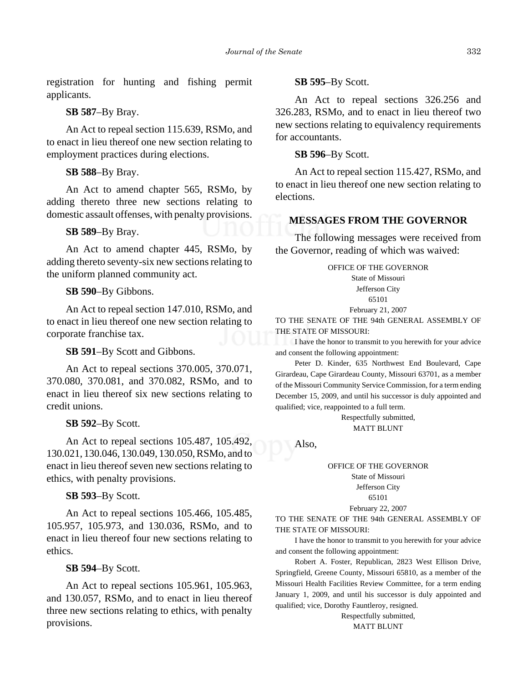registration for hunting and fishing permit applicants.

#### **SB 587**–By Bray.

An Act to repeal section 115.639, RSMo, and to enact in lieu thereof one new section relating to employment practices during elections.

**SB 588**–By Bray.

An Act to amend chapter 565, RSMo, by adding thereto three new sections relating to domestic assault offenses, with penalty provisions.

### **SB 589**–By Bray.

An Act to amend chapter 445, RSMo, by adding thereto seventy-six new sections relating to the uniform planned community act.

### **SB 590**–By Gibbons.

An Act to repeal section 147.010, RSMo, and to enact in lieu thereof one new section relating to corporate franchise tax.

#### **SB 591**–By Scott and Gibbons.

An Act to repeal sections 370.005, 370.071, 370.080, 370.081, and 370.082, RSMo, and to enact in lieu thereof six new sections relating to credit unions.

## **SB 592**–By Scott.

An Act to repeal sections 105.487, 105.492, 130.021, 130.046, 130.049, 130.050, RSMo, and to enact in lieu thereof seven new sections relating to ethics, with penalty provisions.

**SB 593**–By Scott.

An Act to repeal sections 105.466, 105.485, 105.957, 105.973, and 130.036, RSMo, and to enact in lieu thereof four new sections relating to ethics.

#### **SB 594**–By Scott.

An Act to repeal sections 105.961, 105.963, and 130.057, RSMo, and to enact in lieu thereof three new sections relating to ethics, with penalty provisions.

#### **SB 595**–By Scott.

An Act to repeal sections 326.256 and 326.283, RSMo, and to enact in lieu thereof two new sections relating to equivalency requirements for accountants.

**SB 596**–By Scott.

An Act to repeal section 115.427, RSMo, and to enact in lieu thereof one new section relating to elections.

## **MESSAGES FROM THE GOVERNOR**

The following messages were received from the Governor, reading of which was waived:

OFFICE OF THE GOVERNOR

State of Missouri Jefferson City

65101

#### February 21, 2007

TO THE SENATE OF THE 94th GENERAL ASSEMBLY OF THE STATE OF MISSOURI:

I have the honor to transmit to you herewith for your advice and consent the following appointment:

Peter D. Kinder, 635 Northwest End Boulevard, Cape Girardeau, Cape Girardeau County, Missouri 63701, as a member of the Missouri Community Service Commission, for a term ending December 15, 2009, and until his successor is duly appointed and qualified; vice, reappointed to a full term.

> Respectfully submitted, MATT BLUNT

Also,

# OFFICE OF THE GOVERNOR

State of Missouri Jefferson City

# 65101

February 22, 2007

TO THE SENATE OF THE 94th GENERAL ASSEMBLY OF THE STATE OF MISSOURI:

I have the honor to transmit to you herewith for your advice and consent the following appointment:

Robert A. Foster, Republican, 2823 West Ellison Drive, Springfield, Greene County, Missouri 65810, as a member of the Missouri Health Facilities Review Committee, for a term ending January 1, 2009, and until his successor is duly appointed and qualified; vice, Dorothy Fauntleroy, resigned.

> Respectfully submitted, MATT BLUNT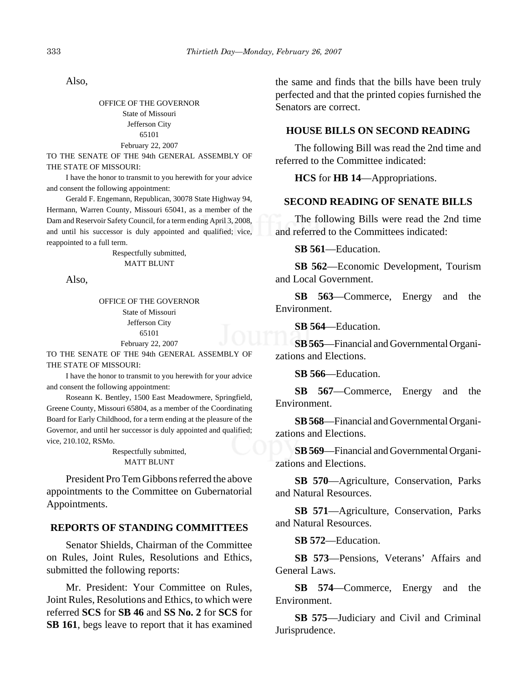Also,

OFFICE OF THE GOVERNOR State of Missouri Jefferson City 65101 February 22, 2007

TO THE SENATE OF THE 94th GENERAL ASSEMBLY OF THE STATE OF MISSOURI:

I have the honor to transmit to you herewith for your advice and consent the following appointment:

Gerald F. Engemann, Republican, 30078 State Highway 94, Hermann, Warren County, Missouri 65041, as a member of the Dam and Reservoir Safety Council, for a term ending April 3, 2008, and until his successor is duly appointed and qualified; vice, reappointed to a full term.

> Respectfully submitted, MATT BLUNT

Also,

OFFICE OF THE GOVERNOR State of Missouri Jefferson City 65101 February 22, 2007

TO THE SENATE OF THE 94th GENERAL ASSEMBLY OF THE STATE OF MISSOURI:

I have the honor to transmit to you herewith for your advice and consent the following appointment:

Roseann K. Bentley, 1500 East Meadowmere, Springfield, Greene County, Missouri 65804, as a member of the Coordinating Board for Early Childhood, for a term ending at the pleasure of the Governor, and until her successor is duly appointed and qualified; vice, 210.102, RSMo.

Respectfully submitted, MATT BLUNT

President Pro Tem Gibbons referred the above appointments to the Committee on Gubernatorial Appointments.

## **REPORTS OF STANDING COMMITTEES**

Senator Shields, Chairman of the Committee on Rules, Joint Rules, Resolutions and Ethics, submitted the following reports:

Mr. President: Your Committee on Rules, Joint Rules, Resolutions and Ethics, to which were referred **SCS** for **SB 46** and **SS No. 2** for **SCS** for **SB 161**, begs leave to report that it has examined the same and finds that the bills have been truly perfected and that the printed copies furnished the Senators are correct.

## **HOUSE BILLS ON SECOND READING**

The following Bill was read the 2nd time and referred to the Committee indicated:

**HCS** for **HB 14**—Appropriations.

## **SECOND READING OF SENATE BILLS**

The following Bills were read the 2nd time and referred to the Committees indicated:

**SB 561**—Education.

**SB 562**—Economic Development, Tourism and Local Government.

**SB 563**—Commerce, Energy and the Environment.

**SB 564**—Education.

**SB 565**—Financial and Governmental Organizations and Elections.

**SB 566**—Education.

**SB 567**—Commerce, Energy and the Environment.

**SB 568**—Financial and Governmental Organizations and Elections.

**SB 569**—Financial and Governmental Organizations and Elections.

**SB 570**—Agriculture, Conservation, Parks and Natural Resources.

**SB 571**—Agriculture, Conservation, Parks and Natural Resources.

**SB 572**—Education.

**SB 573**—Pensions, Veterans' Affairs and General Laws.

**SB 574**—Commerce, Energy and the Environment.

**SB 575**—Judiciary and Civil and Criminal Jurisprudence.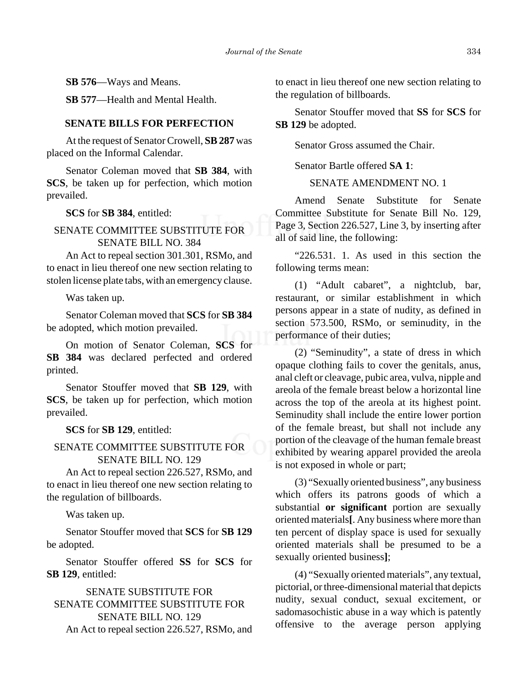**SB 576**—Ways and Means.

**SB 577**—Health and Mental Health.

## **SENATE BILLS FOR PERFECTION**

At the request of Senator Crowell, **SB 287** was placed on the Informal Calendar.

Senator Coleman moved that **SB 384**, with **SCS**, be taken up for perfection, which motion prevailed.

**SCS** for **SB 384**, entitled:

## SENATE COMMITTEE SUBSTITUTE FOR SENATE BILL NO. 384

An Act to repeal section 301.301, RSMo, and to enact in lieu thereof one new section relating to stolen license plate tabs, with an emergency clause.

Was taken up.

Senator Coleman moved that **SCS** for **SB 384** be adopted, which motion prevailed.

On motion of Senator Coleman, **SCS** for **SB 384** was declared perfected and ordered printed.

Senator Stouffer moved that **SB 129**, with **SCS**, be taken up for perfection, which motion prevailed.

**SCS** for **SB 129**, entitled:

## SENATE COMMITTEE SUBSTITUTE FOR SENATE BILL NO. 129

An Act to repeal section 226.527, RSMo, and to enact in lieu thereof one new section relating to the regulation of billboards.

Was taken up.

Senator Stouffer moved that **SCS** for **SB 129** be adopted.

Senator Stouffer offered **SS** for **SCS** for **SB 129**, entitled:

SENATE SUBSTITUTE FOR SENATE COMMITTEE SUBSTITUTE FOR SENATE BILL NO. 129 An Act to repeal section 226.527, RSMo, and to enact in lieu thereof one new section relating to the regulation of billboards.

Senator Stouffer moved that **SS** for **SCS** for **SB 129** be adopted.

Senator Gross assumed the Chair.

Senator Bartle offered **SA 1**:

## SENATE AMENDMENT NO. 1

Amend Senate Substitute for Senate Committee Substitute for Senate Bill No. 129, Page 3, Section 226.527, Line 3, by inserting after all of said line, the following:

"226.531. 1. As used in this section the following terms mean:

(1) "Adult cabaret", a nightclub, bar, restaurant, or similar establishment in which persons appear in a state of nudity, as defined in section 573.500, RSMo, or seminudity, in the performance of their duties;

(2) "Seminudity", a state of dress in which opaque clothing fails to cover the genitals, anus, anal cleft or cleavage, pubic area, vulva, nipple and areola of the female breast below a horizontal line across the top of the areola at its highest point. Seminudity shall include the entire lower portion of the female breast, but shall not include any portion of the cleavage of the human female breast exhibited by wearing apparel provided the areola is not exposed in whole or part;

(3) "Sexually oriented business", any business which offers its patrons goods of which a substantial **or significant** portion are sexually oriented materials**[**. Any business where more than ten percent of display space is used for sexually oriented materials shall be presumed to be a sexually oriented business**]**;

(4) "Sexually oriented materials", any textual, pictorial, or three-dimensional material that depicts nudity, sexual conduct, sexual excitement, or sadomasochistic abuse in a way which is patently offensive to the average person applying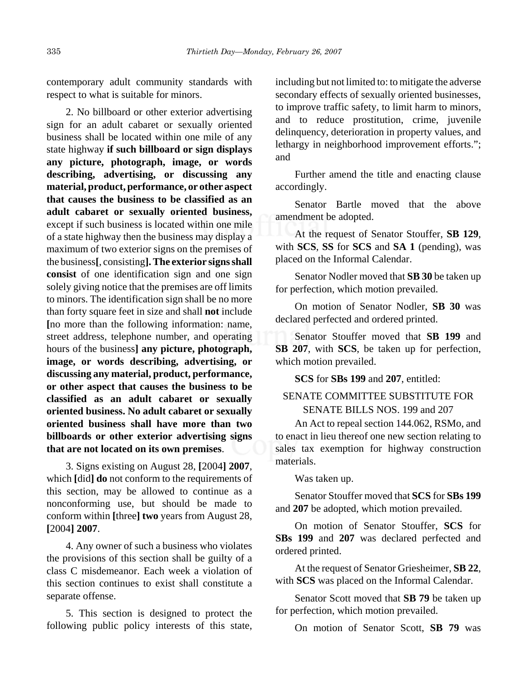contemporary adult community standards with respect to what is suitable for minors.

2. No billboard or other exterior advertising sign for an adult cabaret or sexually oriented business shall be located within one mile of any state highway **if such billboard or sign displays any picture, photograph, image, or words describing, advertising, or discussing any material, product, performance, or other aspect that causes the business to be classified as an adult cabaret or sexually oriented business,** except if such business is located within one mile of a state highway then the business may display a maximum of two exterior signs on the premises of the business**[**, consisting**]. The exterior signs shall consist** of one identification sign and one sign solely giving notice that the premises are off limits to minors. The identification sign shall be no more than forty square feet in size and shall **not** include **[**no more than the following information: name, street address, telephone number, and operating hours of the business**] any picture, photograph, image, or words describing, advertising, or discussing any material, product, performance, or other aspect that causes the business to be classified as an adult cabaret or sexually oriented business. No adult cabaret or sexually oriented business shall have more than two billboards or other exterior advertising signs that are not located on its own premises**.

3. Signs existing on August 28, **[**2004**] 2007**, which **[**did**] do** not conform to the requirements of this section, may be allowed to continue as a nonconforming use, but should be made to conform within **[**three**] two** years from August 28, **[**2004**] 2007**.

4. Any owner of such a business who violates the provisions of this section shall be guilty of a class C misdemeanor. Each week a violation of this section continues to exist shall constitute a separate offense.

5. This section is designed to protect the following public policy interests of this state,

including but not limited to: to mitigate the adverse secondary effects of sexually oriented businesses, to improve traffic safety, to limit harm to minors, and to reduce prostitution, crime, juvenile delinquency, deterioration in property values, and lethargy in neighborhood improvement efforts."; and

Further amend the title and enacting clause accordingly.

Senator Bartle moved that the above amendment be adopted.

At the request of Senator Stouffer, **SB 129**, with **SCS**, **SS** for **SCS** and **SA 1** (pending), was placed on the Informal Calendar.

Senator Nodler moved that **SB 30** be taken up for perfection, which motion prevailed.

On motion of Senator Nodler, **SB 30** was declared perfected and ordered printed.

Senator Stouffer moved that **SB 199** and **SB 207**, with **SCS**, be taken up for perfection, which motion prevailed.

**SCS** for **SBs 199** and **207**, entitled:

## SENATE COMMITTEE SUBSTITUTE FOR SENATE BILLS NOS. 199 and 207

An Act to repeal section 144.062, RSMo, and to enact in lieu thereof one new section relating to sales tax exemption for highway construction materials.

Was taken up.

Senator Stouffer moved that **SCS** for **SBs 199** and **207** be adopted, which motion prevailed.

On motion of Senator Stouffer, **SCS** for **SBs 199** and **207** was declared perfected and ordered printed.

At the request of Senator Griesheimer, **SB 22**, with **SCS** was placed on the Informal Calendar.

Senator Scott moved that **SB 79** be taken up for perfection, which motion prevailed.

On motion of Senator Scott, **SB 79** was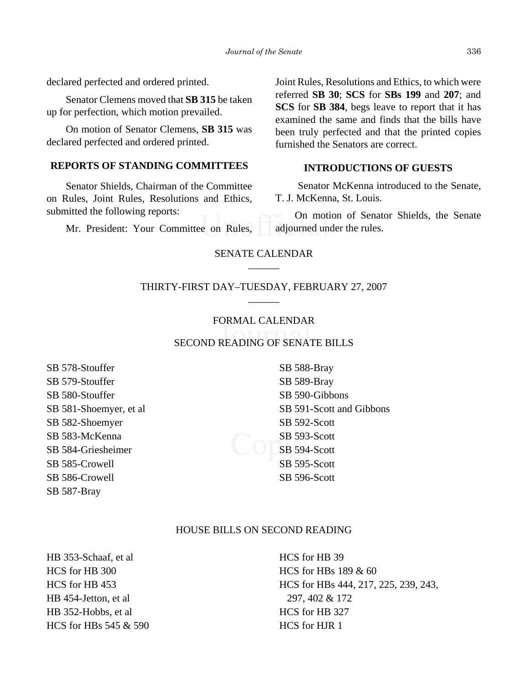declared perfected and ordered printed.

Senator Clemens moved that **SB 315** be taken up for perfection, which motion prevailed.

On motion of Senator Clemens, **SB 315** was declared perfected and ordered printed.

## **REPORTS OF STANDING COMMITTEES**

Senator Shields, Chairman of the Committee on Rules, Joint Rules, Resolutions and Ethics, submitted the following reports:

Mr. President: Your Committee on Rules,

Joint Rules, Resolutions and Ethics, to which were referred **SB 30**; **SCS** for **SBs 199** and **207**; and **SCS** for **SB 384**, begs leave to report that it has examined the same and finds that the bills have been truly perfected and that the printed copies furnished the Senators are correct.

## **INTRODUCTIONS OF GUESTS**

 Senator McKenna introduced to the Senate, T. J. McKenna, St. Louis.

On motion of Senator Shields, the Senate adjourned under the rules.

## SENATE CALENDAR \_\_\_\_\_\_

### THIRTY-FIRST DAY–TUESDAY, FEBRUARY 27, 2007  $\overline{\phantom{a}}$

#### FORMAL CALENDAR

## SECOND READING OF SENATE BILLS

SB 578-Stouffer SB 579-Stouffer SB 580-Stouffer SB 581-Shoemyer, et al SB 582-Shoemyer SB 583-McKenna SB 584-Griesheimer SB 585-Crowell SB 586-Crowell SB 587-Bray

SB 588-Bray SB 589-Bray SB 590-Gibbons SB 591-Scott and Gibbons SB 592-Scott SB 593-Scott SB 594-Scott SB 595-Scott SB 596-Scott

#### HOUSE BILLS ON SECOND READING

HB 353-Schaaf, et al HCS for HB 300 HCS for HB 453 HB 454-Jetton, et al HB 352-Hobbs, et al HCS for HBs 545 & 590 HCS for HB 39 HCS for HBs 189 & 60 HCS for HBs 444, 217, 225, 239, 243, 297, 402 & 172 HCS for HB 327 HCS for HJR 1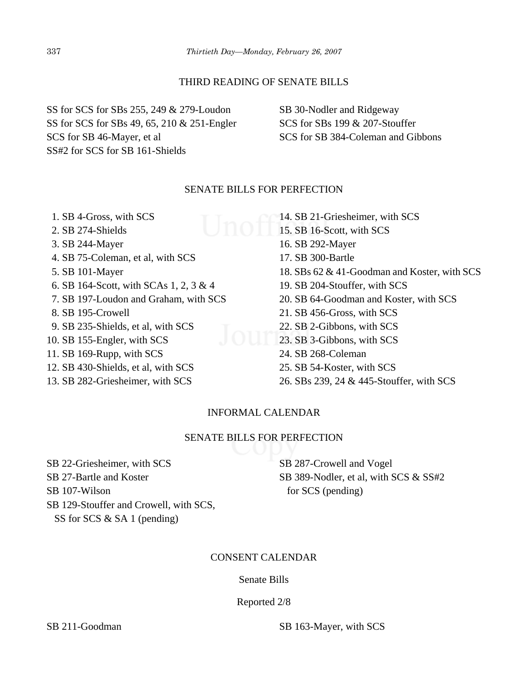## THIRD READING OF SENATE BILLS

SS for SCS for SBs 255, 249 & 279-Loudon SS for SCS for SBs 49, 65, 210 & 251-Engler SCS for SB 46-Mayer, et al SS#2 for SCS for SB 161-Shields

SB 30-Nodler and Ridgeway SCS for SBs 199 & 207-Stouffer SCS for SB 384-Coleman and Gibbons

## SENATE BILLS FOR PERFECTION

 1. SB 4-Gross, with SCS 2. SB 274-Shields 3. SB 244-Mayer 4. SB 75-Coleman, et al, with SCS 5. SB 101-Mayer 6. SB 164-Scott, with SCAs 1, 2, 3 & 4 7. SB 197-Loudon and Graham, with SCS 8. SB 195-Crowell 9. SB 235-Shields, et al, with SCS 10. SB 155-Engler, with SCS 11. SB 169-Rupp, with SCS 12. SB 430-Shields, et al, with SCS 13. SB 282-Griesheimer, with SCS 14. SB 21-Griesheimer, with SCS 15. SB 16-Scott, with SCS 16. SB 292-Mayer 17. SB 300-Bartle 18. SBs 62 & 41-Goodman and Koster, with SCS 19. SB 204-Stouffer, with SCS 20. SB 64-Goodman and Koster, with SCS 21. SB 456-Gross, with SCS 22. SB 2-Gibbons, with SCS 22. SB 2-Gibbons, with SCS<br>23. SB 3-Gibbons, with SCS 24. SB 268-Coleman 25. SB 54-Koster, with SCS 26. SBs 239, 24 & 445-Stouffer, with SCS

## INFORMAL CALENDAR

## SENATE BILLS FOR PERFECTION

SB 22-Griesheimer, with SCS SB 27-Bartle and Koster SB 107-Wilson SB 129-Stouffer and Crowell, with SCS, SS for SCS & SA 1 (pending)

SB 287-Crowell and Vogel SB 389-Nodler, et al, with SCS & SS#2 for SCS (pending)

## CONSENT CALENDAR

## Senate Bills

Reported 2/8

SB 211-Goodman SB 163-Mayer, with SCS